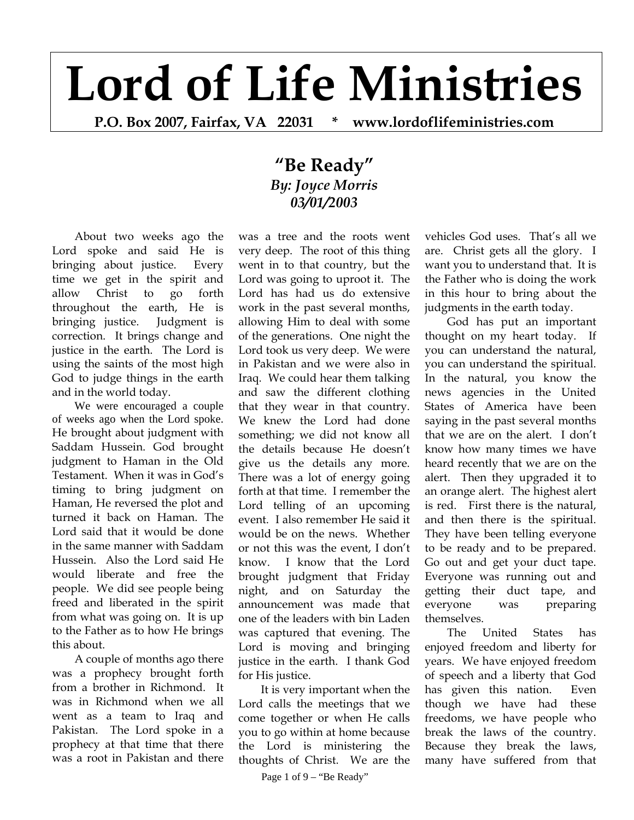## **Lord of Life Ministries**

**P.O. Box 2007, Fairfax, VA 22031 \* www.lordoflifeministries.com** 

## **"Be Ready"** *By: Joyce Morris 03/01/2003*

About two weeks ago the Lord spoke and said He is bringing about justice. Every time we get in the spirit and allow Christ to go forth throughout the earth, He is bringing justice. Judgment is correction. It brings change and justice in the earth. The Lord is using the saints of the most high God to judge things in the earth and in the world today.

We were encouraged a couple of weeks ago when the Lord spoke. He brought about judgment with Saddam Hussein. God brought judgment to Haman in the Old Testament. When it was in God's timing to bring judgment on Haman, He reversed the plot and turned it back on Haman. The Lord said that it would be done in the same manner with Saddam Hussein. Also the Lord said He would liberate and free the people. We did see people being freed and liberated in the spirit from what was going on. It is up to the Father as to how He brings this about.

 A couple of months ago there was a prophecy brought forth from a brother in Richmond. It was in Richmond when we all went as a team to Iraq and Pakistan. The Lord spoke in a prophecy at that time that there was a root in Pakistan and there

was a tree and the roots went very deep. The root of this thing went in to that country, but the Lord was going to uproot it. The Lord has had us do extensive work in the past several months, allowing Him to deal with some of the generations. One night the Lord took us very deep. We were in Pakistan and we were also in Iraq. We could hear them talking and saw the different clothing that they wear in that country. We knew the Lord had done something; we did not know all the details because He doesn't give us the details any more. There was a lot of energy going forth at that time. I remember the Lord telling of an upcoming event. I also remember He said it would be on the news. Whether or not this was the event, I don't know. I know that the Lord brought judgment that Friday night, and on Saturday the announcement was made that one of the leaders with bin Laden was captured that evening. The Lord is moving and bringing justice in the earth. I thank God for His justice.

It is very important when the Lord calls the meetings that we come together or when He calls you to go within at home because the Lord is ministering the thoughts of Christ. We are the

Page 1 of 9 – "Be Ready"

vehicles God uses. That's all we are. Christ gets all the glory. I want you to understand that. It is the Father who is doing the work in this hour to bring about the judgments in the earth today.

 God has put an important thought on my heart today. If you can understand the natural, you can understand the spiritual. In the natural, you know the news agencies in the United States of America have been saying in the past several months that we are on the alert. I don't know how many times we have heard recently that we are on the alert. Then they upgraded it to an orange alert. The highest alert is red. First there is the natural, and then there is the spiritual. They have been telling everyone to be ready and to be prepared. Go out and get your duct tape. Everyone was running out and getting their duct tape, and everyone was preparing themselves.

 The United States has enjoyed freedom and liberty for years. We have enjoyed freedom of speech and a liberty that God has given this nation. Even though we have had these freedoms, we have people who break the laws of the country. Because they break the laws, many have suffered from that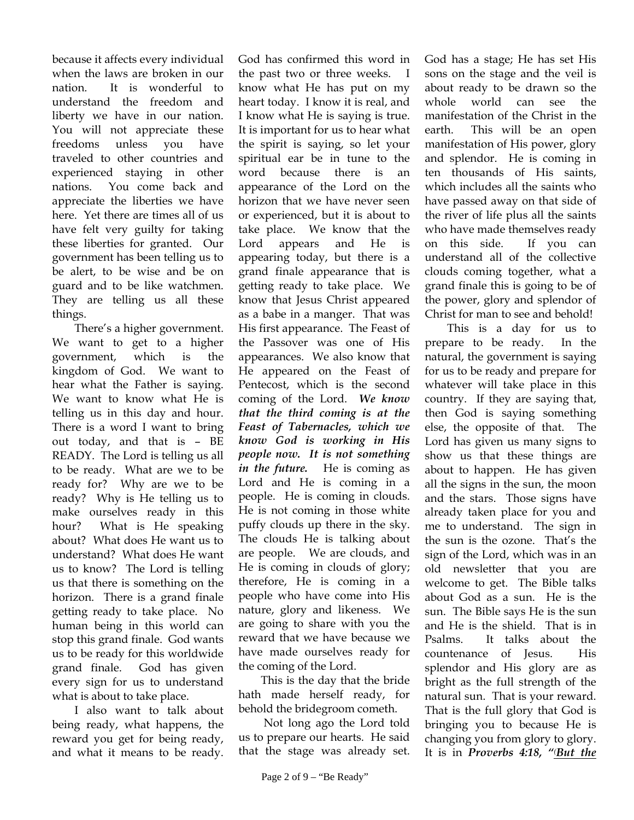because it affects every individual when the laws are broken in our nation. It is wonderful to understand the freedom and liberty we have in our nation. You will not appreciate these freedoms unless you have traveled to other countries and experienced staying in other nations. You come back and appreciate the liberties we have here. Yet there are times all of us have felt very guilty for taking these liberties for granted. Our government has been telling us to be alert, to be wise and be on guard and to be like watchmen. They are telling us all these things.

 There's a higher government. We want to get to a higher government, which is the kingdom of God. We want to hear what the Father is saying. We want to know what He is telling us in this day and hour. There is a word I want to bring out today, and that is – BE READY. The Lord is telling us all to be ready. What are we to be ready for? Why are we to be ready? Why is He telling us to make ourselves ready in this hour? What is He speaking about? What does He want us to understand? What does He want us to know? The Lord is telling us that there is something on the horizon. There is a grand finale getting ready to take place. No human being in this world can stop this grand finale. God wants us to be ready for this worldwide grand finale. God has given every sign for us to understand what is about to take place.

 I also want to talk about being ready, what happens, the reward you get for being ready, and what it means to be ready.

God has confirmed this word in the past two or three weeks. I know what He has put on my heart today. I know it is real, and I know what He is saying is true. It is important for us to hear what the spirit is saying, so let your spiritual ear be in tune to the word because there is an appearance of the Lord on the horizon that we have never seen or experienced, but it is about to take place. We know that the Lord appears and He is appearing today, but there is a grand finale appearance that is getting ready to take place. We know that Jesus Christ appeared as a babe in a manger. That was His first appearance. The Feast of the Passover was one of His appearances. We also know that He appeared on the Feast of Pentecost, which is the second coming of the Lord. *We know that the third coming is at the Feast of Tabernacles, which we know God is working in His people now. It is not something in the future.* He is coming as Lord and He is coming in a people. He is coming in clouds. He is not coming in those white puffy clouds up there in the sky. The clouds He is talking about are people. We are clouds, and He is coming in clouds of glory; therefore, He is coming in a people who have come into His nature, glory and likeness. We are going to share with you the reward that we have because we have made ourselves ready for the coming of the Lord.

 This is the day that the bride hath made herself ready, for behold the bridegroom cometh.

 Not long ago the Lord told us to prepare our hearts. He said that the stage was already set.

God has a stage; He has set His sons on the stage and the veil is about ready to be drawn so the whole world can see the manifestation of the Christ in the earth. This will be an open manifestation of His power, glory and splendor. He is coming in ten thousands of His saints, which includes all the saints who have passed away on that side of the river of life plus all the saints who have made themselves ready on this side. If you can understand all of the collective clouds coming together, what a grand finale this is going to be of the power, glory and splendor of Christ for man to see and behold!

 This is a day for us to prepare to be ready. In the natural, the government is saying for us to be ready and prepare for whatever will take place in this country. If they are saying that, then God is saying something else, the opposite of that. The Lord has given us many signs to show us that these things are about to happen. He has given all the signs in the sun, the moon and the stars. Those signs have already taken place for you and me to understand. The sign in the sun is the ozone. That's the sign of the Lord, which was in an old newsletter that you are welcome to get. The Bible talks about God as a sun. He is the sun. The Bible says He is the sun and He is the shield. That is in Psalms. It talks about the countenance of Jesus. His splendor and His glory are as bright as the full strength of the natural sun. That is your reward. That is the full glory that God is bringing you to because He is changing you from glory to glory. It is in *Proverbs 4:18, "( But the*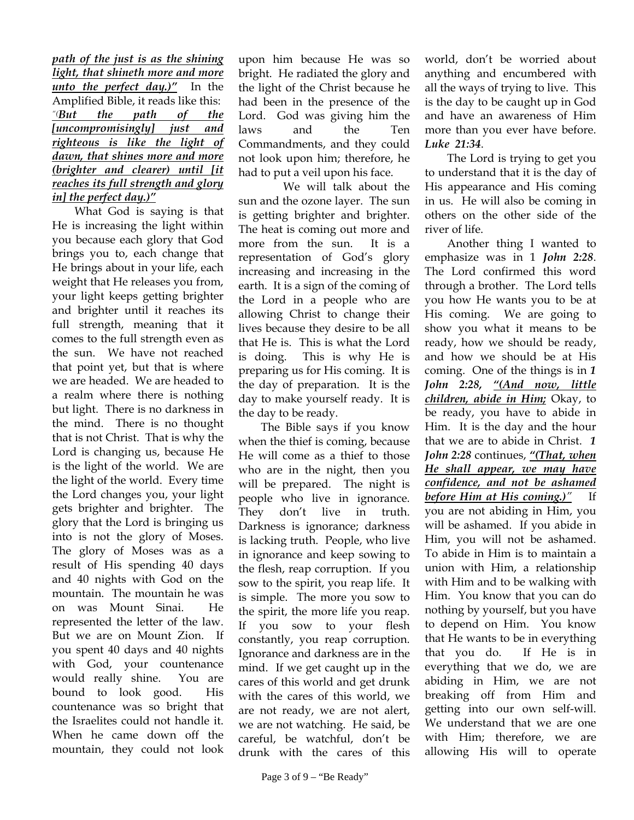## *path of the just is as the shining light, that shineth more and more unto the perfect day.)"* In the Amplified Bible, it reads like this: *"(But the path of the [uncompromisingly] just and righteous is like the light of dawn, that shines more and more (brighter and clearer) until [it reaches its full strength and glory in] the perfect day.)"*

What God is saying is that He is increasing the light within you because each glory that God brings you to, each change that He brings about in your life, each weight that He releases you from, your light keeps getting brighter and brighter until it reaches its full strength, meaning that it comes to the full strength even as the sun. We have not reached that point yet, but that is where we are headed. We are headed to a realm where there is nothing but light. There is no darkness in the mind. There is no thought that is not Christ. That is why the Lord is changing us, because He is the light of the world. We are the light of the world. Every time the Lord changes you, your light gets brighter and brighter. The glory that the Lord is bringing us into is not the glory of Moses. The glory of Moses was as a result of His spending 40 days and 40 nights with God on the mountain. The mountain he was on was Mount Sinai. He represented the letter of the law. But we are on Mount Zion. If you spent 40 days and 40 nights with God, your countenance would really shine. You are bound to look good. His countenance was so bright that the Israelites could not handle it. When he came down off the mountain, they could not look

upon him because He was so bright. He radiated the glory and the light of the Christ because he had been in the presence of the Lord. God was giving him the laws and the Ten Commandments, and they could not look upon him; therefore, he had to put a veil upon his face.

We will talk about the sun and the ozone layer. The sun is getting brighter and brighter. The heat is coming out more and more from the sun. It is a representation of God's glory increasing and increasing in the earth. It is a sign of the coming of the Lord in a people who are allowing Christ to change their lives because they desire to be all that He is. This is what the Lord is doing. This is why He is preparing us for His coming. It is the day of preparation. It is the day to make yourself ready. It is the day to be ready.

The Bible says if you know when the thief is coming, because He will come as a thief to those who are in the night, then you will be prepared. The night is people who live in ignorance. They don't live in truth. Darkness is ignorance; darkness is lacking truth. People, who live in ignorance and keep sowing to the flesh, reap corruption. If you sow to the spirit, you reap life. It is simple. The more you sow to the spirit, the more life you reap. If you sow to your flesh constantly, you reap corruption. Ignorance and darkness are in the mind. If we get caught up in the cares of this world and get drunk with the cares of this world, we are not ready, we are not alert, we are not watching. He said, be careful, be watchful, don't be drunk with the cares of this

world, don't be worried about anything and encumbered with all the ways of trying to live. This is the day to be caught up in God and have an awareness of Him more than you ever have before. *Luke 21:34*.

 The Lord is trying to get you to understand that it is the day of His appearance and His coming in us. He will also be coming in others on the other side of the river of life.

 Another thing I wanted to emphasize was in 1 *John 2:28*. The Lord confirmed this word through a brother. The Lord tells you how He wants you to be at His coming. We are going to show you what it means to be ready, how we should be ready, and how we should be at His coming. One of the things is in *1 John 2:28, "(And now, little children, abide in Him;* Okay, to be ready, you have to abide in Him. It is the day and the hour that we are to abide in Christ. *1 John 2:28* continues, *"(That, when He shall appear, we may have confidence, and not be ashamed before Him at His coming.)"* If you are not abiding in Him, you will be ashamed. If you abide in Him, you will not be ashamed. To abide in Him is to maintain a union with Him, a relationship with Him and to be walking with Him. You know that you can do nothing by yourself, but you have to depend on Him. You know that He wants to be in everything that you do. If He is in everything that we do, we are abiding in Him, we are not breaking off from Him and getting into our own self-will. We understand that we are one with Him; therefore, we are allowing His will to operate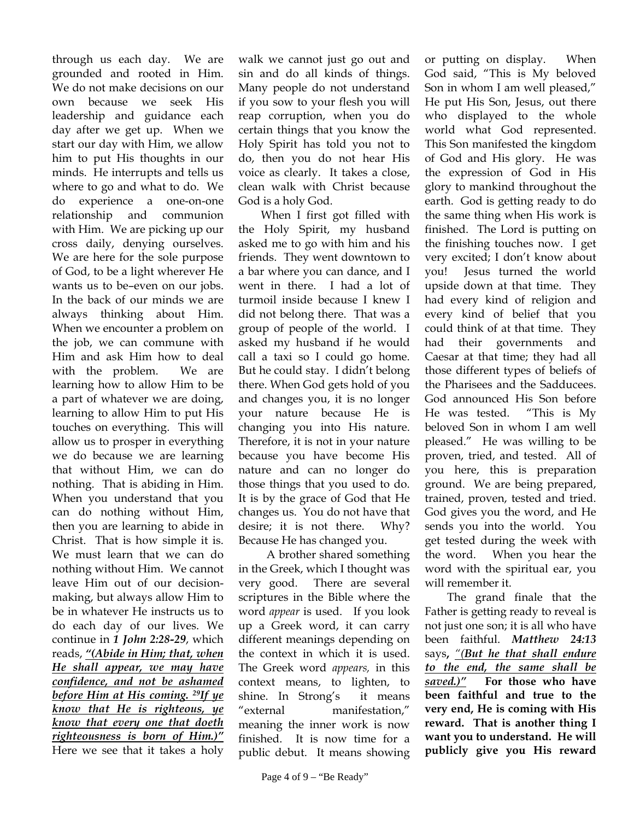through us each day. We are grounded and rooted in Him. We do not make decisions on our own because we seek His leadership and guidance each day after we get up. When we start our day with Him, we allow him to put His thoughts in our minds. He interrupts and tells us where to go and what to do. We do experience a one-on-one relationship and communion with Him. We are picking up our cross daily, denying ourselves. We are here for the sole purpose of God, to be a light wherever He wants us to be–even on our jobs. In the back of our minds we are always thinking about Him. When we encounter a problem on the job, we can commune with Him and ask Him how to deal with the problem. We are learning how to allow Him to be a part of whatever we are doing, learning to allow Him to put His touches on everything. This will allow us to prosper in everything we do because we are learning that without Him, we can do nothing. That is abiding in Him. When you understand that you can do nothing without Him, then you are learning to abide in Christ. That is how simple it is. We must learn that we can do nothing without Him. We cannot leave Him out of our decisionmaking, but always allow Him to be in whatever He instructs us to do each day of our lives. We continue in *1 John 2:28-29*, which reads, *"(Abide in Him; that, when He shall appear, we may have confidence, and not be ashamed before Him at His coming. 29If ye know that He is righteous, ye know that every one that doeth righteousness is born of Him.)"* Here we see that it takes a holy

walk we cannot just go out and sin and do all kinds of things. Many people do not understand if you sow to your flesh you will reap corruption, when you do certain things that you know the Holy Spirit has told you not to do, then you do not hear His voice as clearly. It takes a close, clean walk with Christ because God is a holy God.

 When I first got filled with the Holy Spirit, my husband asked me to go with him and his friends. They went downtown to a bar where you can dance, and I went in there. I had a lot of turmoil inside because I knew I did not belong there. That was a group of people of the world. I asked my husband if he would call a taxi so I could go home. But he could stay. I didn't belong there. When God gets hold of you and changes you, it is no longer your nature because He is changing you into His nature. Therefore, it is not in your nature because you have become His nature and can no longer do those things that you used to do. It is by the grace of God that He changes us. You do not have that desire; it is not there. Why? Because He has changed you.

 A brother shared something in the Greek, which I thought was very good. There are several scriptures in the Bible where the word *appear* is used. If you look up a Greek word, it can carry different meanings depending on the context in which it is used. The Greek word *appears,* in this context means, to lighten, to shine. In Strong's it means "external manifestation," meaning the inner work is now finished. It is now time for a public debut. It means showing

or putting on display. When God said, "This is My beloved Son in whom I am well pleased," He put His Son, Jesus, out there who displayed to the whole world what God represented. This Son manifested the kingdom of God and His glory. He was the expression of God in His glory to mankind throughout the earth. God is getting ready to do the same thing when His work is finished. The Lord is putting on the finishing touches now. I get very excited; I don't know about you! Jesus turned the world upside down at that time. They had every kind of religion and every kind of belief that you could think of at that time. They had their governments and Caesar at that time; they had all those different types of beliefs of the Pharisees and the Sadducees. God announced His Son before He was tested. "This is My beloved Son in whom I am well pleased." He was willing to be proven, tried, and tested. All of you here, this is preparation ground. We are being prepared, trained, proven, tested and tried. God gives you the word, and He sends you into the world. You get tested during the week with the word. When you hear the word with the spiritual ear, you will remember it.

The grand finale that the Father is getting ready to reveal is not just one son; it is all who have been faithful. *Matthew 24:13* says**,** *"(But he that shall endure to the end, the same shall be saved.)"* **For those who have been faithful and true to the very end, He is coming with His reward. That is another thing I want you to understand. He will publicly give you His reward**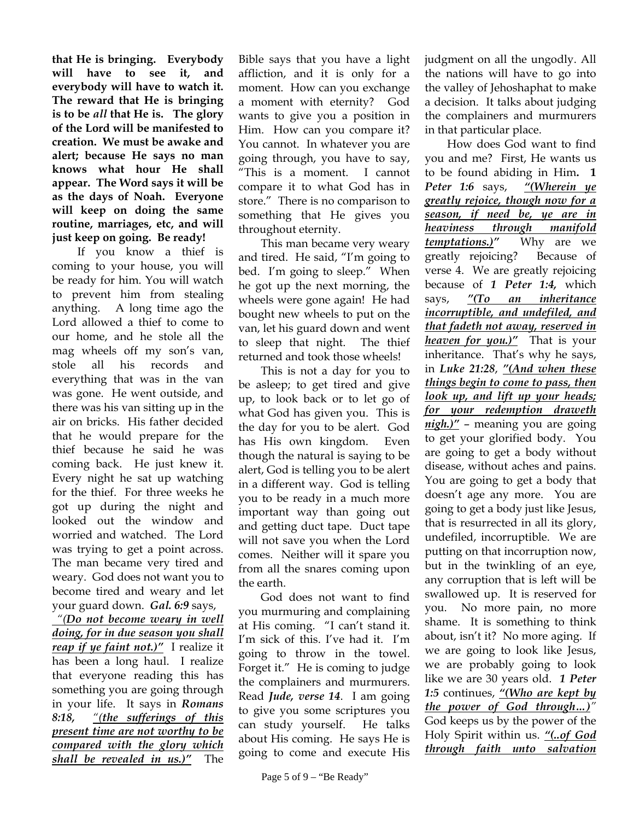**that He is bringing. Everybody will have to see it, and everybody will have to watch it. The reward that He is bringing is to be** *all* **that He is. The glory of the Lord will be manifested to creation. We must be awake and alert; because He says no man knows what hour He shall appear. The Word says it will be as the days of Noah. Everyone will keep on doing the same routine, marriages, etc, and will just keep on going. Be ready!** 

 If you know a thief is coming to your house, you will be ready for him. You will watch to prevent him from stealing anything. A long time ago the Lord allowed a thief to come to our home, and he stole all the mag wheels off my son's van, stole all his records and everything that was in the van was gone. He went outside, and there was his van sitting up in the air on bricks. His father decided that he would prepare for the thief because he said he was coming back. He just knew it. Every night he sat up watching for the thief. For three weeks he got up during the night and looked out the window and worried and watched. The Lord was trying to get a point across. The man became very tired and weary. God does not want you to become tired and weary and let your guard down. *Gal. 6:9* says,  *"(Do not become weary in well doing, for in due season you shall reap if ye faint not.)"* I realize it has been a long haul. I realize that everyone reading this has

something you are going through in your life. It says in *Romans 8:18, "(the sufferings of this present time are not worthy to be compared with the glory which shall be revealed in us.)"*The

Bible says that you have a light affliction, and it is only for a moment. How can you exchange a moment with eternity? God wants to give you a position in Him. How can you compare it? You cannot. In whatever you are going through, you have to say, "This is a moment. I cannot compare it to what God has in store." There is no comparison to something that He gives you throughout eternity.

 This man became very weary and tired. He said, "I'm going to bed. I'm going to sleep." When he got up the next morning, the wheels were gone again! He had bought new wheels to put on the van, let his guard down and went to sleep that night. The thief returned and took those wheels!

 This is not a day for you to be asleep; to get tired and give up, to look back or to let go of what God has given you. This is the day for you to be alert. God has His own kingdom. Even though the natural is saying to be alert, God is telling you to be alert in a different way. God is telling you to be ready in a much more important way than going out and getting duct tape. Duct tape will not save you when the Lord comes. Neither will it spare you from all the snares coming upon the earth.

 God does not want to find you murmuring and complaining at His coming. "I can't stand it. I'm sick of this. I've had it. I'm going to throw in the towel. Forget it." He is coming to judge the complainers and murmurers. Read *Jude, verse 14*. I am going to give you some scriptures you can study yourself. He talks about His coming. He says He is going to come and execute His

judgment on all the ungodly. All the nations will have to go into the valley of Jehoshaphat to make a decision. It talks about judging the complainers and murmurers in that particular place.

 How does God want to find you and me? First, He wants us to be found abiding in Him**. 1** *Peter 1:6* says, *"(Wherein ye greatly rejoice, though now for a season, if need be, ye are in heaviness through manifold temptations.)"* Why are we greatly rejoicing? Because of verse 4. We are greatly rejoicing because of *1 Peter 1:4,* which says, *"(To an inheritance incorruptible, and undefiled, and that fadeth not away, reserved in heaven for you.)"* That is your inheritance. That's why he says, in *Luke 21:28*, *"(And when these things begin to come to pass, then look up, and lift up your heads; for your redemption draweth nigh.)"* – meaning you are going to get your glorified body. You are going to get a body without disease, without aches and pains. You are going to get a body that doesn't age any more. You are going to get a body just like Jesus, that is resurrected in all its glory, undefiled, incorruptible. We are putting on that incorruption now, but in the twinkling of an eye, any corruption that is left will be swallowed up. It is reserved for you. No more pain, no more shame. It is something to think about, isn't it? No more aging. If we are going to look like Jesus, we are probably going to look like we are 30 years old. *1 Peter 1:5* continues, *"(Who are kept by the power of God through…)"* God keeps us by the power of the Holy Spirit within us. *"(..of God through faith unto salvation*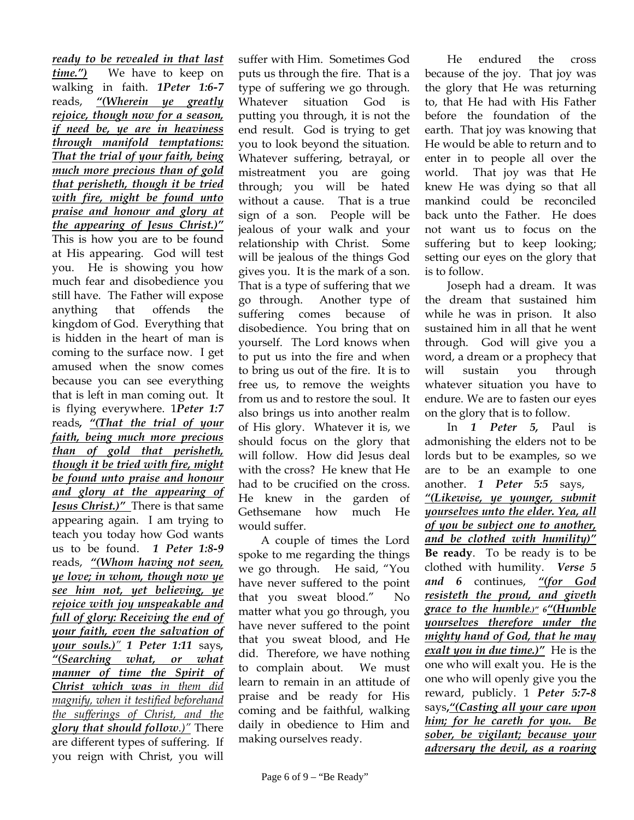*ready to be revealed in that last time.")* We have to keep on walking in faith. *1Peter 1:6-7* reads, *"(Wherein ye greatly rejoice, though now for a season, if need be, ye are in heaviness through manifold temptations: That the trial of your faith, being much more precious than of gold that perisheth, though it be tried with fire, might be found unto praise and honour and glory at the appearing of Jesus Christ.)"* This is how you are to be found at His appearing. God will test you. He is showing you how much fear and disobedience you still have. The Father will expose anything that offends the kingdom of God. Everything that is hidden in the heart of man is coming to the surface now. I get amused when the snow comes because you can see everything that is left in man coming out. It is flying everywhere. 1*Peter 1:7*  reads*, "(That the trial of your faith, being much more precious than of gold that perisheth, though it be tried with fire, might be found unto praise and honour and glory at the appearing of Jesus Christ.)"* There is that same appearing again. I am trying to teach you today how God wants us to be found. *1 Peter 1:8-9*  reads, *"(Whom having not seen, ye love; in whom, though now ye see him not, yet believing, ye rejoice with joy unspeakable and full of glory: Receiving the end of your faith, even the salvation of your souls.)" 1 Peter 1:11* says*, "(Searching what, or what manner of time the Spirit of Christ which was in them did magnify, when it testified beforehand the sufferings of Christ, and the glory that should follow.)"* There are different types of suffering. If you reign with Christ, you will

suffer with Him. Sometimes God puts us through the fire. That is a type of suffering we go through. Whatever situation God is putting you through, it is not the end result. God is trying to get you to look beyond the situation. Whatever suffering, betrayal, or mistreatment you are going through; you will be hated without a cause. That is a true sign of a son. People will be jealous of your walk and your relationship with Christ. Some will be jealous of the things God gives you. It is the mark of a son. That is a type of suffering that we go through. Another type of suffering comes because of disobedience. You bring that on yourself. The Lord knows when to put us into the fire and when to bring us out of the fire. It is to free us, to remove the weights from us and to restore the soul. It also brings us into another realm of His glory. Whatever it is, we should focus on the glory that will follow. How did Jesus deal with the cross? He knew that He had to be crucified on the cross. He knew in the garden of Gethsemane how much He would suffer.

 A couple of times the Lord spoke to me regarding the things we go through. He said, "You have never suffered to the point that you sweat blood." No matter what you go through, you have never suffered to the point that you sweat blood, and He did. Therefore, we have nothing to complain about. We must learn to remain in an attitude of praise and be ready for His coming and be faithful, walking daily in obedience to Him and making ourselves ready.

 He endured the cross because of the joy. That joy was the glory that He was returning to, that He had with His Father before the foundation of the earth. That joy was knowing that He would be able to return and to enter in to people all over the world. That joy was that He knew He was dying so that all mankind could be reconciled back unto the Father. He does not want us to focus on the suffering but to keep looking; setting our eyes on the glory that is to follow.

 Joseph had a dream. It was the dream that sustained him while he was in prison. It also sustained him in all that he went through. God will give you a word, a dream or a prophecy that will sustain you through whatever situation you have to endure. We are to fasten our eyes on the glory that is to follow.

 In *1 Peter 5,* Paul is admonishing the elders not to be lords but to be examples, so we are to be an example to one another. *1 Peter 5:5* says, *"(Likewise, ye younger, submit yourselves unto the elder. Yea, all of you be subject one to another, and be clothed with humility)"* **Be ready**. To be ready is to be clothed with humility. *Verse 5 and 6* continues, *"(for God resisteth the proud, and giveth grace to the humble.)" 6"(Humble yourselves therefore under the mighty hand of God, that he may exalt you in due time.)"* He is the one who will exalt you. He is the one who will openly give you the reward, publicly. 1 *Peter 5:7-8*  says**,***"(Casting all your care upon him; for he careth for you. Be sober, be vigilant; because your adversary the devil, as a roaring*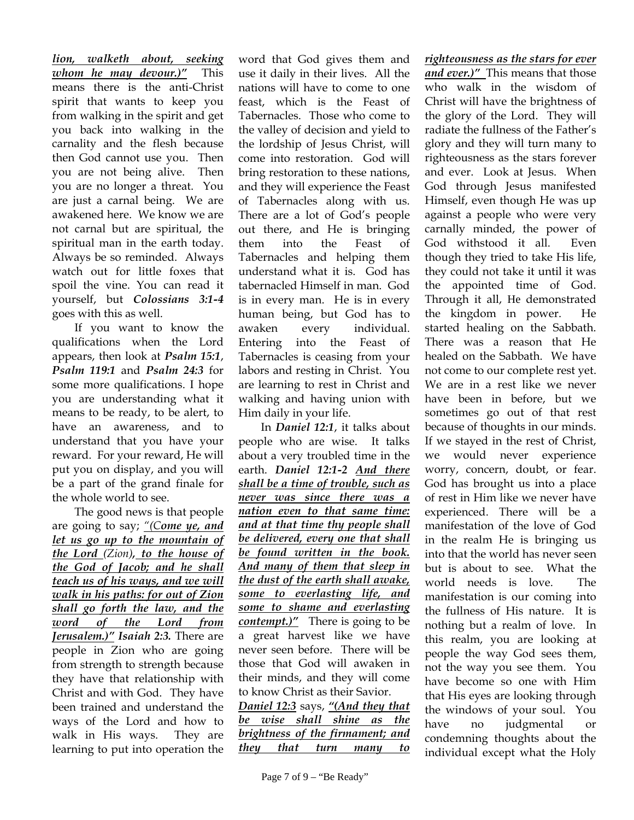*lion, walketh about, seeking whom he may devour.)"* This means there is the anti-Christ spirit that wants to keep you from walking in the spirit and get you back into walking in the carnality and the flesh because then God cannot use you. Then you are not being alive. Then you are no longer a threat. You are just a carnal being. We are awakened here. We know we are not carnal but are spiritual, the spiritual man in the earth today. Always be so reminded. Always watch out for little foxes that spoil the vine. You can read it yourself, but *Colossians 3:1-4*  goes with this as well.

 If you want to know the qualifications when the Lord appears, then look at *Psalm 15:1*, *Psalm 119:1* and *Psalm 24:3* for some more qualifications. I hope you are understanding what it means to be ready, to be alert, to have an awareness, and to understand that you have your reward. For your reward, He will put you on display, and you will be a part of the grand finale for the whole world to see.

 The good news is that people are going to say; *"(Come ye, and let us go up to the mountain of the Lord (Zion), to the house of the God of Jacob; and he shall teach us of his ways, and we will walk in his paths: for out of Zion shall go forth the law, and the word of the Lord from Jerusalem.)" Isaiah 2:3.* There are people in Zion who are going from strength to strength because they have that relationship with Christ and with God. They have been trained and understand the ways of the Lord and how to walk in His ways. They are learning to put into operation the

word that God gives them and use it daily in their lives. All the nations will have to come to one feast, which is the Feast of Tabernacles. Those who come to the valley of decision and yield to the lordship of Jesus Christ, will come into restoration. God will bring restoration to these nations, and they will experience the Feast of Tabernacles along with us. There are a lot of God's people out there, and He is bringing them into the Feast of Tabernacles and helping them understand what it is. God has tabernacled Himself in man. God is in every man. He is in every human being, but God has to awaken every individual. Entering into the Feast of Tabernacles is ceasing from your labors and resting in Christ. You are learning to rest in Christ and walking and having union with Him daily in your life.

 In *Daniel 12:1*, it talks about people who are wise. It talks about a very troubled time in the earth. *Daniel 12:1-2 And there shall be a time of trouble, such as never was since there was a nation even to that same time: and at that time thy people shall be delivered, every one that shall be found written in the book. And many of them that sleep in the dust of the earth shall awake, some to everlasting life, and some to shame and everlasting contempt.)"* There is going to be a great harvest like we have never seen before. There will be those that God will awaken in their minds, and they will come to know Christ as their Savior.

*Daniel 12:3* says, *"(And they that be wise shall shine as the brightness of the firmament; and they that turn many to* 

*righteousness as the stars for ever and ever.)"* This means that those who walk in the wisdom of Christ will have the brightness of the glory of the Lord. They will radiate the fullness of the Father's glory and they will turn many to righteousness as the stars forever and ever. Look at Jesus. When God through Jesus manifested Himself, even though He was up against a people who were very carnally minded, the power of God withstood it all. Even though they tried to take His life, they could not take it until it was the appointed time of God. Through it all, He demonstrated the kingdom in power. He started healing on the Sabbath. There was a reason that He healed on the Sabbath. We have not come to our complete rest yet. We are in a rest like we never have been in before, but we sometimes go out of that rest because of thoughts in our minds. If we stayed in the rest of Christ, we would never experience worry, concern, doubt, or fear. God has brought us into a place of rest in Him like we never have experienced. There will be a manifestation of the love of God in the realm He is bringing us into that the world has never seen but is about to see. What the world needs is love. The manifestation is our coming into the fullness of His nature. It is nothing but a realm of love. In this realm, you are looking at people the way God sees them, not the way you see them. You have become so one with Him that His eyes are looking through the windows of your soul. You have no judgmental or condemning thoughts about the individual except what the Holy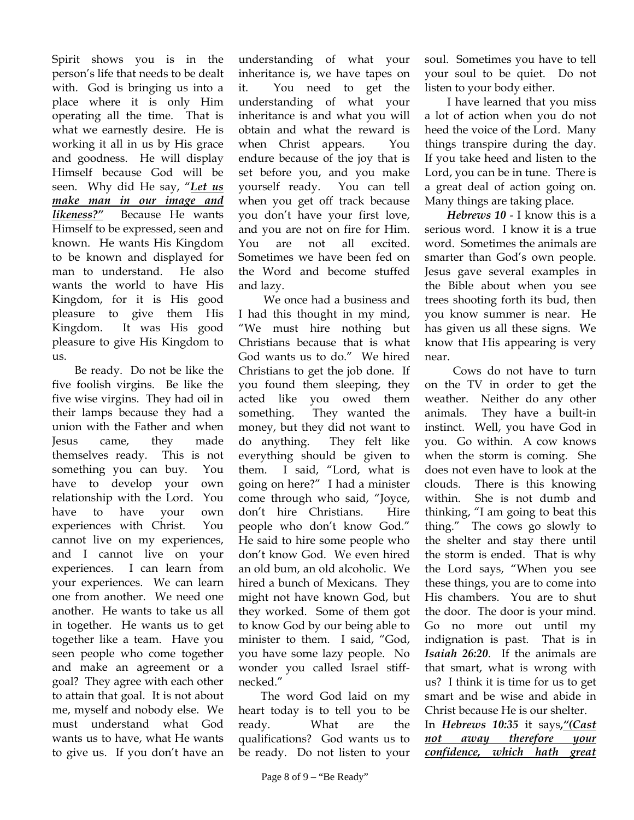Spirit shows you is in the person's life that needs to be dealt with. God is bringing us into a place where it is only Him operating all the time. That is what we earnestly desire. He is working it all in us by His grace and goodness. He will display Himself because God will be seen. Why did He say, "*Let us make man in our image and likeness?"* Because He wants Himself to be expressed, seen and known. He wants His Kingdom to be known and displayed for man to understand. He also wants the world to have His Kingdom, for it is His good pleasure to give them His Kingdom. It was His good pleasure to give His Kingdom to 11<sub>S</sub>

 Be ready. Do not be like the five foolish virgins. Be like the five wise virgins. They had oil in their lamps because they had a union with the Father and when Jesus came, they made themselves ready. This is not something you can buy. You have to develop your own relationship with the Lord. You have to have your own experiences with Christ. You cannot live on my experiences, and I cannot live on your experiences. I can learn from your experiences. We can learn one from another. We need one another. He wants to take us all in together. He wants us to get together like a team. Have you seen people who come together and make an agreement or a goal? They agree with each other to attain that goal. It is not about me, myself and nobody else. We must understand what God wants us to have, what He wants to give us. If you don't have an

understanding of what your inheritance is, we have tapes on it. You need to get the understanding of what your inheritance is and what you will obtain and what the reward is when Christ appears. You endure because of the joy that is set before you, and you make yourself ready. You can tell when you get off track because you don't have your first love, and you are not on fire for Him. You are not all excited. Sometimes we have been fed on the Word and become stuffed and lazy.

 We once had a business and I had this thought in my mind, "We must hire nothing but Christians because that is what God wants us to do." We hired Christians to get the job done. If you found them sleeping, they acted like you owed them something. They wanted the money, but they did not want to do anything. They felt like everything should be given to them. I said, "Lord, what is going on here?" I had a minister come through who said, "Joyce, don't hire Christians. Hire people who don't know God." He said to hire some people who don't know God. We even hired an old bum, an old alcoholic. We hired a bunch of Mexicans. They might not have known God, but they worked. Some of them got to know God by our being able to minister to them. I said, "God, you have some lazy people. No wonder you called Israel stiffnecked."

 The word God laid on my heart today is to tell you to be ready. What are the qualifications? God wants us to be ready. Do not listen to your

soul. Sometimes you have to tell your soul to be quiet. Do not listen to your body either.

 I have learned that you miss a lot of action when you do not heed the voice of the Lord. Many things transpire during the day. If you take heed and listen to the Lord, you can be in tune. There is a great deal of action going on. Many things are taking place.

*Hebrews 10* - I know this is a serious word. I know it is a true word. Sometimes the animals are smarter than God's own people. Jesus gave several examples in the Bible about when you see trees shooting forth its bud, then you know summer is near. He has given us all these signs. We know that His appearing is very near.

 Cows do not have to turn on the TV in order to get the weather. Neither do any other animals. They have a built-in instinct. Well, you have God in you. Go within. A cow knows when the storm is coming. She does not even have to look at the clouds. There is this knowing within. She is not dumb and thinking, "I am going to beat this thing." The cows go slowly to the shelter and stay there until the storm is ended. That is why the Lord says, "When you see these things, you are to come into His chambers. You are to shut the door. The door is your mind. Go no more out until my indignation is past. That is in *Isaiah 26:20*. If the animals are that smart, what is wrong with us? I think it is time for us to get smart and be wise and abide in Christ because He is our shelter.

In *Hebrews 10:35* it says**,***"(Cast not away therefore your confidence, which hath great*